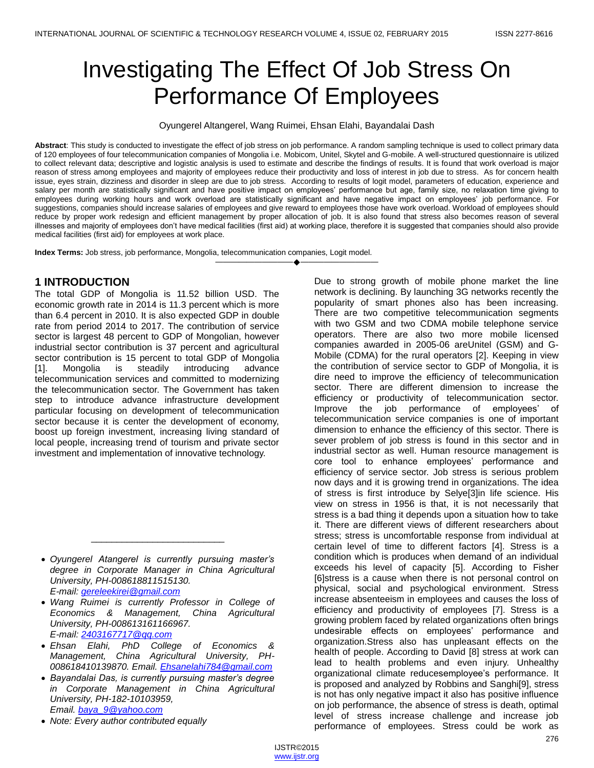# Investigating The Effect Of Job Stress On Performance Of Employees

Oyungerel Altangerel, Wang Ruimei, Ehsan Elahi, Bayandalai Dash

**Abstract**: This study is conducted to investigate the effect of job stress on job performance. A random sampling technique is used to collect primary data of 120 employees of four telecommunication companies of Mongolia i.e. Mobicom, Unitel, Skytel and G-mobile. A well-structured questionnaire is utilized to collect relevant data; descriptive and logistic analysis is used to estimate and describe the findings of results. It is found that work overload is major reason of stress among employees and majority of employees reduce their productivity and loss of interest in job due to stress. As for concern health issue, eyes strain, dizziness and disorder in sleep are due to job stress. According to results of logit model, parameters of education, experience and salary per month are statistically significant and have positive impact on employees' performance but age, family size, no relaxation time giving to employees during working hours and work overload are statistically significant and have negative impact on employees' job performance. For suggestions, companies should increase salaries of employees and give reward to employees those have work overload. Workload of employees should reduce by proper work redesign and efficient management by proper allocation of job. It is also found that stress also becomes reason of several illnesses and majority of employees don't have medical facilities (first aid) at working place, therefore it is suggested that companies should also provide medical facilities (first aid) for employees at work place.

————————————————————

**Index Terms:** Job stress, job performance, Mongolia, telecommunication companies, Logit model.

# **1 INTRODUCTION**

The total GDP of Mongolia is 11.52 billion USD. The economic growth rate in 2014 is 11.3 percent which is more than 6.4 percent in 2010. It is also expected GDP in double rate from period 2014 to 2017. The contribution of service sector is largest 48 percent to GDP of Mongolian, however industrial sector contribution is 37 percent and agricultural sector contribution is 15 percent to total GDP of Mongolia [1]. Mongolia is steadily introducing advance telecommunication services and committed to modernizing the telecommunication sector. The Government has taken step to introduce advance infrastructure development particular focusing on development of telecommunication sector because it is center the development of economy, boost up foreign investment, increasing living standard of local people, increasing trend of tourism and private sector investment and implementation of innovative technology.

 *Oyungerel Atangerel is currently pursuing master's degree in Corporate Manager in China Agricultural University, PH-008618811515130. E-mail[: gereleekirei@gmail.com](mailto:gereleekirei@gmail.com)*

\_\_\_\_\_\_\_\_\_\_\_\_\_\_\_\_\_\_\_\_\_\_\_\_\_\_

 *Wang Ruimei is currently Professor in College of Economics & Management, China Agricultural University, PH-008613161166967. E-mail[: 2403167717@qq.com](mailto:2403167717@qq.com)*

- *Ehsan Elahi, PhD College of Economics & Management, China Agricultural University, PH-008618410139870. Email. [Ehsanelahi784@gmail.com](mailto:Ehsanelahi784@gmail.com)*
- *Bayandalai Das, is currently pursuing master's degree in Corporate Management in China Agricultural University, PH-182-10103959, Email. [baya\\_9@yahoo.com](mailto:baya_9@yahoo.com)*
- *Note: Every author contributed equally*

Due to strong growth of mobile phone market the line network is declining. By launching 3G networks recently the popularity of smart phones also has been increasing. There are two competitive telecommunication segments with two GSM and two CDMA mobile telephone service operators. There are also two more mobile licensed companies awarded in 2005-06 areUnitel (GSM) and G-Mobile (CDMA) for the rural operators [2]. Keeping in view the contribution of service sector to GDP of Mongolia, it is dire need to improve the efficiency of telecommunication sector. There are different dimension to increase the efficiency or productivity of telecommunication sector. Improve the job performance of employees' of telecommunication service companies is one of important dimension to enhance the efficiency of this sector. There is sever problem of job stress is found in this sector and in industrial sector as well. Human resource management is core tool to enhance employees' performance and efficiency of service sector. Job stress is serious problem now days and it is growing trend in organizations. The idea of stress is first introduce by Selye[3]in life science. His view on stress in 1956 is that, it is not necessarily that stress is a bad thing it depends upon a situation how to take it. There are different views of different researchers about stress; stress is uncomfortable response from individual at certain level of time to different factors [4]. Stress is a condition which is produces when demand of an individual exceeds his level of capacity [5]. According to Fisher [6]stress is a cause when there is not personal control on physical, social and psychological environment. Stress increase absenteeism in employees and causes the loss of efficiency and productivity of employees [7]. Stress is a growing problem faced by related organizations often brings undesirable effects on employees' performance and organization.Stress also has unpleasant effects on the health of people. According to David [8] stress at work can lead to health problems and even injury. Unhealthy organizational climate reducesemployee's performance. It is proposed and analyzed by Robbins and Sanghi[9], stress is not has only negative impact it also has positive influence on job performance, the absence of stress is death, optimal level of stress increase challenge and increase job performance of employees. Stress could be work as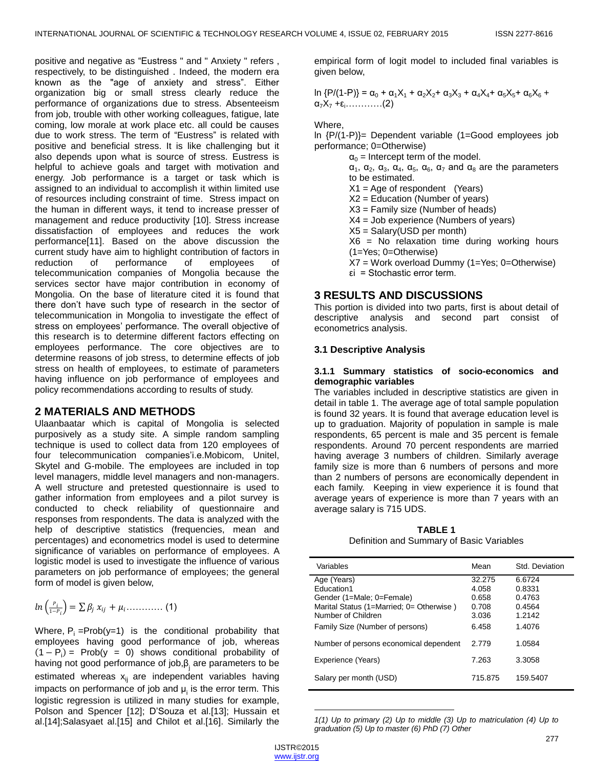positive and negative as "Eustress " and " Anxiety " refers , respectively, to be distinguished . Indeed, the modern era known as the "age of anxiety and stress". Either organization big or small stress clearly reduce the performance of organizations due to stress. Absenteeism from job, trouble with other working colleagues, fatigue, late coming, low morale at work place etc. all could be causes due to work stress. The term of "Eustress" is related with positive and beneficial stress. It is like challenging but it also depends upon what is source of stress. Eustress is helpful to achieve goals and target with motivation and energy. Job performance is a target or task which is assigned to an individual to accomplish it within limited use of resources including constraint of time. Stress impact on the human in different ways, it tend to increase presser of management and reduce productivity [10]. Stress increase dissatisfaction of employees and reduces the work performance[11]. Based on the above discussion the current study have aim to highlight contribution of factors in reduction of performance of employees of telecommunication companies of Mongolia because the services sector have major contribution in economy of Mongolia. On the base of literature cited it is found that there don't have such type of research in the sector of telecommunication in Mongolia to investigate the effect of stress on employees' performance. The overall objective of this research is to determine different factors effecting on employees performance. The core objectives are to determine reasons of job stress, to determine effects of job stress on health of employees, to estimate of parameters having influence on job performance of employees and policy recommendations according to results of study.

## **2 MATERIALS AND METHODS**

Ulaanbaatar which is capital of Mongolia is selected purposively as a study site. A simple random sampling technique is used to collect data from 120 employees of four telecommunication companies'i.e.Mobicom, Unitel, Skytel and G-mobile. The employees are included in top level managers, middle level managers and non-managers. A well structure and pretested questionnaire is used to gather information from employees and a pilot survey is conducted to check reliability of questionnaire and responses from respondents. The data is analyzed with the help of descriptive statistics (frequencies, mean and percentages) and econometrics model is used to determine significance of variables on performance of employees. A logistic model is used to investigate the influence of various parameters on job performance of employees; the general form of model is given below,

$$
ln\left(\frac{P_i}{1-P_i}\right)=\sum \beta_j \; x_{ij} \; + \mu_i \ldots \ldots \ldots \quad (1)
$$

Where,  $P_i = Prob(y=1)$  is the conditional probability that employees having good performance of job, whereas  $(1 - P_i)$  = Prob(y = 0) shows conditional probability of having not good performance of job, $\beta_{_{\!j}}$  are parameters to be estimated whereas  $x_{ij}$  are independent variables having impacts on performance of job and  $\mu_{\text{i}}$  is the error term. This logistic regression is utilized in many studies for example, Polson and Spencer [12]; D'Souza et al.[13]; Hussain et al.[14];Salasyaet al.[15] and Chilot et al.[16]. Similarly the

empirical form of logit model to included final variables is given below,

ln  ${P/(1-P)} = α_0 + α_1X_1 + α_2X_2 + α_3X_3 + α_4X_4 + α_5X_5 + α_6X_6 +$  $\alpha_7X_7 + \varepsilon_1 \ldots \ldots \ldots (2)$ 

### Where,

ln {P/(1-P)}= Dependent variable (1=Good employees job performance; 0=Otherwise)

 $\alpha_0$  = Intercept term of the model.  $\alpha_1$ ,  $\alpha_2$ ,  $\alpha_3$ ,  $\alpha_4$ ,  $\alpha_5$ ,  $\alpha_6$ ,  $\alpha_7$  and  $\alpha_8$  are the parameters to be estimated.  $X1 = \text{Age of responder}$  (Years) X2 = Education (Number of years) X3 = Family size (Number of heads) X4 = Job experience (Numbers of years) X5 = Salary(USD per month) X6 = No relaxation time during working hours (1=Yes; 0=Otherwise) X7 = Work overload Dummy (1=Yes; 0=Otherwise) εi = Stochastic error term.

# **3 RESULTS AND DISCUSSIONS**

This portion is divided into two parts, first is about detail of descriptive analysis and second part consist of econometrics analysis.

## **3.1 Descriptive Analysis**

#### **3.1.1 Summary statistics of socio-economics and demographic variables**

The variables included in descriptive statistics are given in detail in table 1. The average age of total sample population is found 32 years. It is found that average education level is up to graduation. Majority of population in sample is male respondents, 65 percent is male and 35 percent is female respondents. Around 70 percent respondents are married having average 3 numbers of children. Similarly average family size is more than 6 numbers of persons and more than 2 numbers of persons are economically dependent in each family. Keeping in view experience it is found that average years of experience is more than 7 years with an average salary is 715 UDS.

**TABLE 1** Definition and Summary of Basic Variables

| Variables                                | Mean    | Std. Deviation |
|------------------------------------------|---------|----------------|
| Age (Years)                              | 32.275  | 6.6724         |
| <b>Education1</b>                        | 4.058   | 0.8331         |
| Gender (1=Male; 0=Female)                | 0.658   | 0.4763         |
| Marital Status (1=Married; 0= Otherwise) | 0.708   | 0.4564         |
| Number of Children                       | 3.036   | 1.2142         |
| Family Size (Number of persons)          | 6.458   | 1.4076         |
| Number of persons economical dependent   | 2.779   | 1.0584         |
| Experience (Years)                       | 7.263   | 3.3058         |
| Salary per month (USD)                   | 715.875 | 159.5407       |

l *1(1) Up to primary (2) Up to middle (3) Up to matriculation (4) Up to graduation (5) Up to master (6) PhD (7) Other*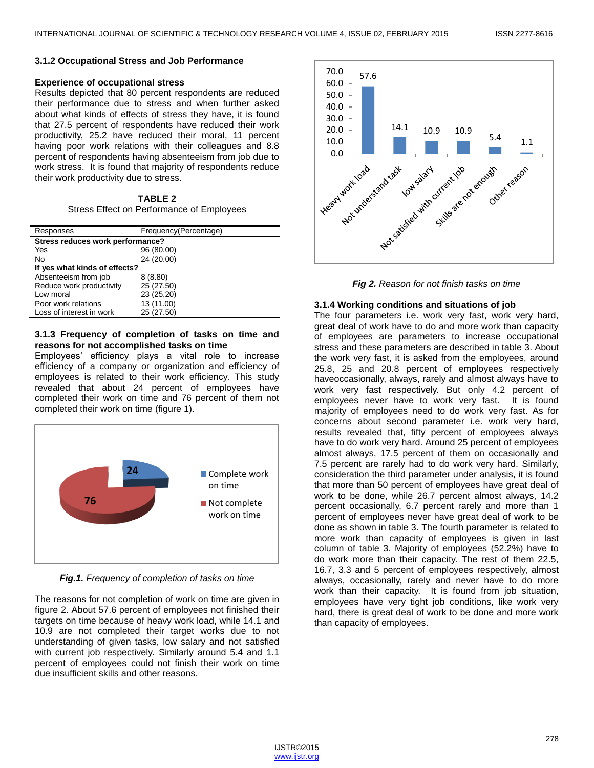#### **3.1.2 Occupational Stress and Job Performance**

#### **Experience of occupational stress**

Results depicted that 80 percent respondents are reduced their performance due to stress and when further asked about what kinds of effects of stress they have, it is found that 27.5 percent of respondents have reduced their work productivity, 25.2 have reduced their moral, 11 percent having poor work relations with their colleagues and 8.8 percent of respondents having absenteeism from job due to work stress. It is found that majority of respondents reduce their work productivity due to stress.

**TABLE 2** Stress Effect on Performance of Employees

| Responses                        | Frequency(Percentage) |  |
|----------------------------------|-----------------------|--|
| Stress reduces work performance? |                       |  |
| Yes                              | 96 (80.00)            |  |
| No                               | 24 (20.00)            |  |
| If yes what kinds of effects?    |                       |  |
| Absenteeism from job             | 8(8.80)               |  |
| Reduce work productivity         | 25 (27.50)            |  |
| Low moral                        | 23 (25.20)            |  |
| Poor work relations              | 13 (11.00)            |  |
| Loss of interest in work         | 25 (27.50)            |  |

#### **3.1.3 Frequency of completion of tasks on time and reasons for not accomplished tasks on time**

Employees' efficiency plays a vital role to increase efficiency of a company or organization and efficiency of employees is related to their work efficiency. This study revealed that about 24 percent of employees have completed their work on time and 76 percent of them not completed their work on time (figure 1).



*Fig.1. Frequency of completion of tasks on time*

The reasons for not completion of work on time are given in figure 2. About 57.6 percent of employees not finished their targets on time because of heavy work load, while 14.1 and 10.9 are not completed their target works due to not understanding of given tasks, low salary and not satisfied with current job respectively. Similarly around 5.4 and 1.1 percent of employees could not finish their work on time due insufficient skills and other reasons.



*Fig 2. Reason for not finish tasks on time*

#### **3.1.4 Working conditions and situations of job**

The four parameters i.e. work very fast, work very hard, great deal of work have to do and more work than capacity of employees are parameters to increase occupational stress and these parameters are described in table 3. About the work very fast, it is asked from the employees, around 25.8, 25 and 20.8 percent of employees respectively haveoccasionally, always, rarely and almost always have to work very fast respectively. But only 4.2 percent of employees never have to work very fast. It is found majority of employees need to do work very fast. As for concerns about second parameter i.e. work very hard, results revealed that, fifty percent of employees always have to do work very hard. Around 25 percent of employees almost always, 17.5 percent of them on occasionally and 7.5 percent are rarely had to do work very hard. Similarly, consideration the third parameter under analysis, it is found that more than 50 percent of employees have great deal of work to be done, while 26.7 percent almost always, 14.2 percent occasionally, 6.7 percent rarely and more than 1 percent of employees never have great deal of work to be done as shown in table 3. The fourth parameter is related to more work than capacity of employees is given in last column of table 3. Majority of employees (52.2%) have to do work more than their capacity. The rest of them 22.5, 16.7, 3.3 and 5 percent of employees respectively, almost always, occasionally, rarely and never have to do more work than their capacity. It is found from job situation, employees have very tight job conditions, like work very hard, there is great deal of work to be done and more work than capacity of employees.

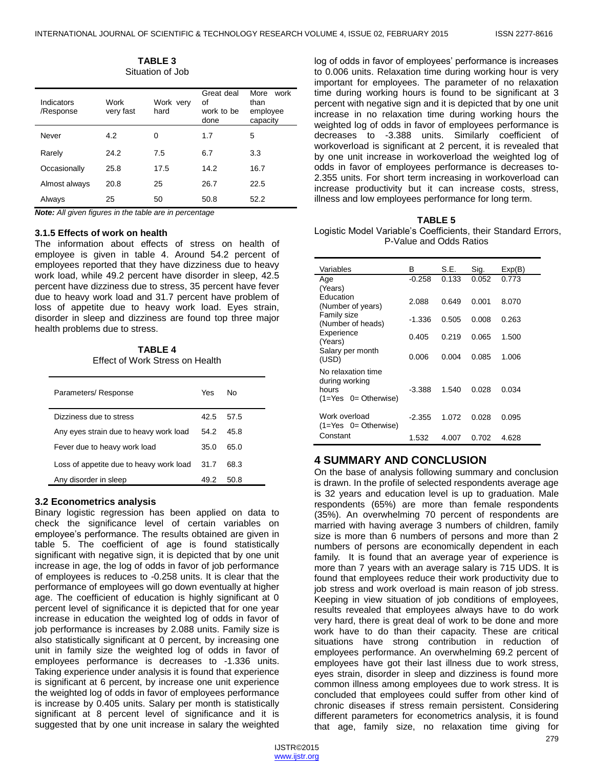| TABLE 3          |  |
|------------------|--|
| Situation of Job |  |

| Indicators<br>/Response | Work<br>very fast | Work very<br>hard | Great deal<br>οf<br>work to be<br>done | More<br>work<br>than<br>employee<br>capacity |
|-------------------------|-------------------|-------------------|----------------------------------------|----------------------------------------------|
| Never                   | 4.2               | 0                 | 1.7                                    | 5                                            |
| Rarely                  | 24.2              | 7.5               | 6.7                                    | 3.3                                          |
| Occasionally            | 25.8              | 17.5              | 14.2                                   | 16.7                                         |
| Almost always           | 20.8              | 25                | 26.7                                   | 22.5                                         |
| Always                  | 25                | 50                | 50.8                                   | 52.2                                         |

*Note: All given figures in the table are in percentage*

#### **3.1.5 Effects of work on health**

The information about effects of stress on health of employee is given in table 4. Around 54.2 percent of employees reported that they have dizziness due to heavy work load, while 49.2 percent have disorder in sleep, 42.5 percent have dizziness due to stress, 35 percent have fever due to heavy work load and 31.7 percent have problem of loss of appetite due to heavy work load. Eyes strain, disorder in sleep and dizziness are found top three major health problems due to stress.

**TABLE 4** Effect of Work Stress on Health

| Parameters/Response                     | Yes  | N٥   |
|-----------------------------------------|------|------|
| Dizziness due to stress                 | 42.5 | 57.5 |
| Any eyes strain due to heavy work load  | 54.2 | 45.8 |
| Fever due to heavy work load            | 35.0 | 65.0 |
| Loss of appetite due to heavy work load | 31.7 | 68.3 |
| Any disorder in sleep                   | 49.2 | 50.8 |

#### **3.2 Econometrics analysis**

Binary logistic regression has been applied on data to check the significance level of certain variables on employee's performance. The results obtained are given in table 5. The coefficient of age is found statistically significant with negative sign, it is depicted that by one unit increase in age, the log of odds in favor of job performance of employees is reduces to -0.258 units. It is clear that the performance of employees will go down eventually at higher age. The coefficient of education is highly significant at 0 percent level of significance it is depicted that for one year increase in education the weighted log of odds in favor of job performance is increases by 2.088 units. Family size is also statistically significant at 0 percent, by increasing one unit in family size the weighted log of odds in favor of employees performance is decreases to -1.336 units. Taking experience under analysis it is found that experience is significant at 6 percent, by increase one unit experience the weighted log of odds in favor of employees performance is increase by 0.405 units. Salary per month is statistically significant at 8 percent level of significance and it is suggested that by one unit increase in salary the weighted

log of odds in favor of employees' performance is increases to 0.006 units. Relaxation time during working hour is very important for employees. The parameter of no relaxation time during working hours is found to be significant at 3 percent with negative sign and it is depicted that by one unit increase in no relaxation time during working hours the weighted log of odds in favor of employees performance is decreases to -3.388 units. Similarly coefficient of workoverload is significant at 2 percent, it is revealed that by one unit increase in workoverload the weighted log of odds in favor of employees performance is decreases to-2.355 units. For short term increasing in workoverload can increase productivity but it can increase costs, stress, illness and low employees performance for long term.

|--|--|

Logistic Model Variable's Coefficients, their Standard Errors, P-Value and Odds Ratios

| Variables                                                                     | B        | S.E.  | Sig.  | Exp(B) |
|-------------------------------------------------------------------------------|----------|-------|-------|--------|
| Age<br>(Years)                                                                | $-0.258$ | 0.133 | 0.052 | 0.773  |
| <b>Education</b><br>(Number of years)                                         | 2.088    | 0.649 | 0.001 | 8.070  |
| Family size<br>(Number of heads)                                              | $-1.336$ | 0.505 | 0.008 | 0.263  |
| Experience<br>(Years)                                                         | 0.405    | 0.219 | 0.065 | 1.500  |
| Salary per month<br>(USD)                                                     | 0.006    | 0.004 | 0.085 | 1.006  |
| No relaxation time<br>during working<br>hours<br>$(1 = Yes \t 0 = Otherwise)$ | $-3.388$ | 1.540 | 0.028 | 0.034  |
| Work overload<br>$(1 = Yes \t 0 = Otherwise)$                                 | $-2.355$ | 1.072 | 0.028 | 0.095  |
| Constant                                                                      | 1.532    | 4.007 | 0.702 | 4.628  |

# **4 SUMMARY AND CONCLUSION**

On the base of analysis following summary and conclusion is drawn. In the profile of selected respondents average age is 32 years and education level is up to graduation. Male respondents (65%) are more than female respondents (35%). An overwhelming 70 percent of respondents are married with having average 3 numbers of children, family size is more than 6 numbers of persons and more than 2 numbers of persons are economically dependent in each family. It is found that an average year of experience is more than 7 years with an average salary is 715 UDS. It is found that employees reduce their work productivity due to job stress and work overload is main reason of job stress. Keeping in view situation of job conditions of employees, results revealed that employees always have to do work very hard, there is great deal of work to be done and more work have to do than their capacity. These are critical situations have strong contribution in reduction of employees performance. An overwhelming 69.2 percent of employees have got their last illness due to work stress, eyes strain, disorder in sleep and dizziness is found more common illness among employees due to work stress. It is concluded that employees could suffer from other kind of chronic diseases if stress remain persistent. Considering different parameters for econometrics analysis, it is found that age, family size, no relaxation time giving for